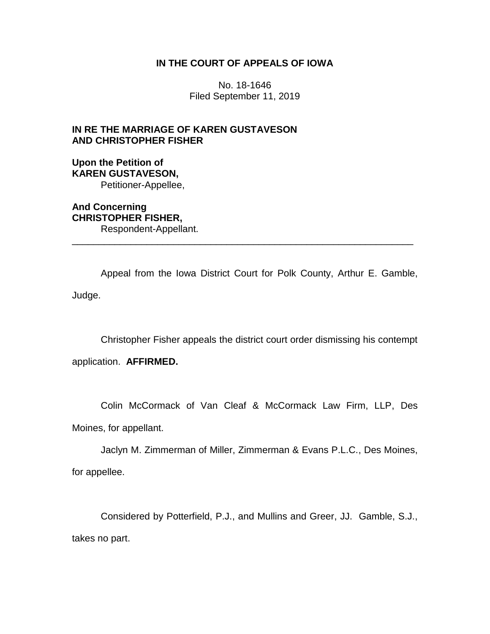## **IN THE COURT OF APPEALS OF IOWA**

No. 18-1646 Filed September 11, 2019

## **IN RE THE MARRIAGE OF KAREN GUSTAVESON AND CHRISTOPHER FISHER**

## **Upon the Petition of KAREN GUSTAVESON,** Petitioner-Appellee,

**And Concerning CHRISTOPHER FISHER,** Respondent-Appellant.

Appeal from the Iowa District Court for Polk County, Arthur E. Gamble, Judge.

\_\_\_\_\_\_\_\_\_\_\_\_\_\_\_\_\_\_\_\_\_\_\_\_\_\_\_\_\_\_\_\_\_\_\_\_\_\_\_\_\_\_\_\_\_\_\_\_\_\_\_\_\_\_\_\_\_\_\_\_\_\_\_\_

Christopher Fisher appeals the district court order dismissing his contempt

application. **AFFIRMED.**

Colin McCormack of Van Cleaf & McCormack Law Firm, LLP, Des

Moines, for appellant.

Jaclyn M. Zimmerman of Miller, Zimmerman & Evans P.L.C., Des Moines,

for appellee.

Considered by Potterfield, P.J., and Mullins and Greer, JJ. Gamble, S.J., takes no part.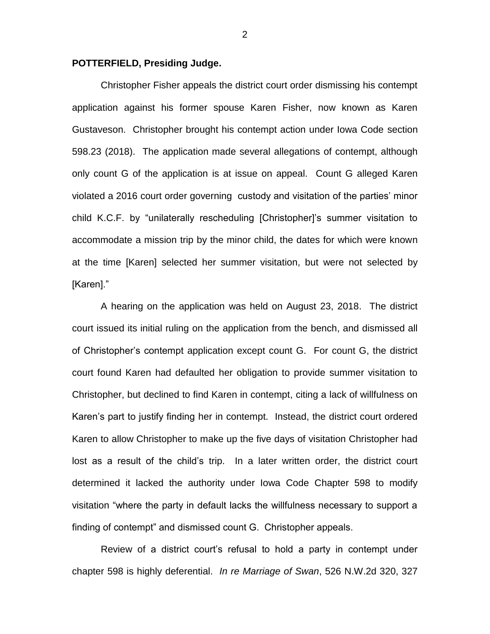## **POTTERFIELD, Presiding Judge.**

Christopher Fisher appeals the district court order dismissing his contempt application against his former spouse Karen Fisher, now known as Karen Gustaveson. Christopher brought his contempt action under Iowa Code section 598.23 (2018). The application made several allegations of contempt, although only count G of the application is at issue on appeal. Count G alleged Karen violated a 2016 court order governing custody and visitation of the parties' minor child K.C.F. by "unilaterally rescheduling [Christopher]'s summer visitation to accommodate a mission trip by the minor child, the dates for which were known at the time [Karen] selected her summer visitation, but were not selected by [Karen]."

A hearing on the application was held on August 23, 2018. The district court issued its initial ruling on the application from the bench, and dismissed all of Christopher's contempt application except count G. For count G, the district court found Karen had defaulted her obligation to provide summer visitation to Christopher, but declined to find Karen in contempt, citing a lack of willfulness on Karen's part to justify finding her in contempt. Instead, the district court ordered Karen to allow Christopher to make up the five days of visitation Christopher had lost as a result of the child's trip. In a later written order, the district court determined it lacked the authority under Iowa Code Chapter 598 to modify visitation "where the party in default lacks the willfulness necessary to support a finding of contempt" and dismissed count G. Christopher appeals.

Review of a district court's refusal to hold a party in contempt under chapter 598 is highly deferential. *In re Marriage of Swan*, 526 N.W.2d 320, 327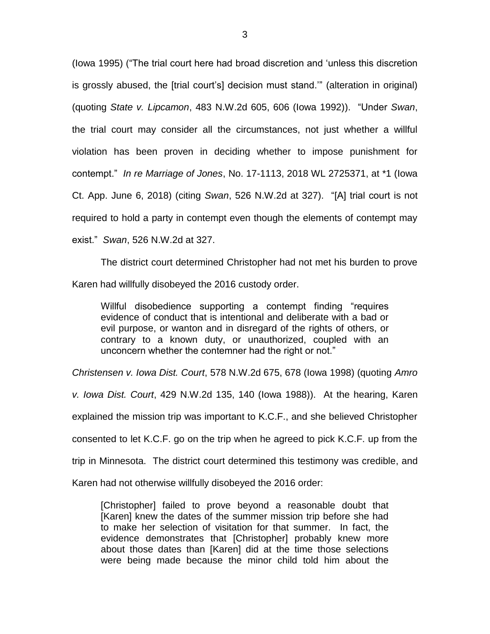(Iowa 1995) ("The trial court here had broad discretion and 'unless this discretion is grossly abused, the [trial court's] decision must stand.'" (alteration in original) (quoting *State v. Lipcamon*, 483 N.W.2d 605, 606 (Iowa 1992)). "Under *Swan*, the trial court may consider all the circumstances, not just whether a willful violation has been proven in deciding whether to impose punishment for contempt." *In re Marriage of Jones*, No. 17-1113, 2018 WL 2725371, at \*1 (Iowa Ct. App. June 6, 2018) (citing *Swan*, 526 N.W.2d at 327). "[A] trial court is not required to hold a party in contempt even though the elements of contempt may exist." *Swan*, 526 N.W.2d at 327.

The district court determined Christopher had not met his burden to prove Karen had willfully disobeyed the 2016 custody order.

Willful disobedience supporting a contempt finding "requires evidence of conduct that is intentional and deliberate with a bad or evil purpose, or wanton and in disregard of the rights of others, or contrary to a known duty, or unauthorized, coupled with an unconcern whether the contemner had the right or not."

*Christensen v. Iowa Dist. Court*, 578 N.W.2d 675, 678 (Iowa 1998) (quoting *Amro* 

*v. Iowa Dist. Court*, 429 N.W.2d 135, 140 (Iowa 1988)). At the hearing, Karen

explained the mission trip was important to K.C.F., and she believed Christopher

consented to let K.C.F. go on the trip when he agreed to pick K.C.F. up from the

trip in Minnesota. The district court determined this testimony was credible, and

Karen had not otherwise willfully disobeyed the 2016 order:

[Christopher] failed to prove beyond a reasonable doubt that [Karen] knew the dates of the summer mission trip before she had to make her selection of visitation for that summer. In fact, the evidence demonstrates that [Christopher] probably knew more about those dates than [Karen] did at the time those selections were being made because the minor child told him about the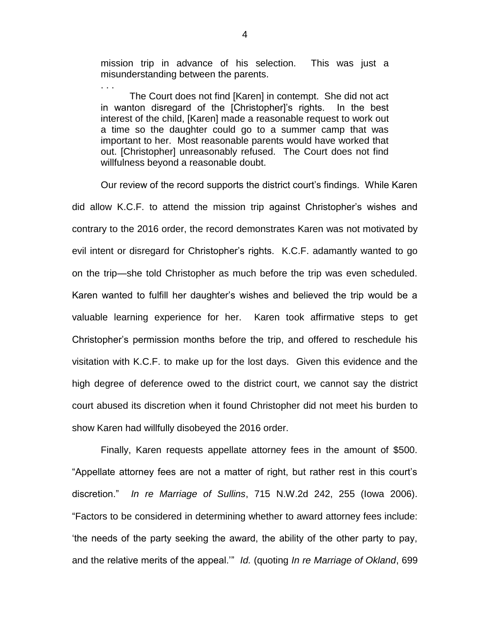mission trip in advance of his selection. This was just a misunderstanding between the parents.

. . .

The Court does not find [Karen] in contempt. She did not act in wanton disregard of the [Christopher]'s rights. In the best interest of the child, [Karen] made a reasonable request to work out a time so the daughter could go to a summer camp that was important to her. Most reasonable parents would have worked that out. [Christopher] unreasonably refused. The Court does not find willfulness beyond a reasonable doubt.

Our review of the record supports the district court's findings. While Karen did allow K.C.F. to attend the mission trip against Christopher's wishes and contrary to the 2016 order, the record demonstrates Karen was not motivated by evil intent or disregard for Christopher's rights. K.C.F. adamantly wanted to go on the trip—she told Christopher as much before the trip was even scheduled. Karen wanted to fulfill her daughter's wishes and believed the trip would be a valuable learning experience for her. Karen took affirmative steps to get Christopher's permission months before the trip, and offered to reschedule his visitation with K.C.F. to make up for the lost days. Given this evidence and the high degree of deference owed to the district court, we cannot say the district court abused its discretion when it found Christopher did not meet his burden to show Karen had willfully disobeyed the 2016 order.

Finally, Karen requests appellate attorney fees in the amount of \$500. "Appellate attorney fees are not a matter of right, but rather rest in this court's discretion." *In re Marriage of Sullins*, 715 N.W.2d 242, 255 (Iowa 2006). "Factors to be considered in determining whether to award attorney fees include: 'the needs of the party seeking the award, the ability of the other party to pay, and the relative merits of the appeal.'" *Id.* (quoting *In re Marriage of Okland*, 699